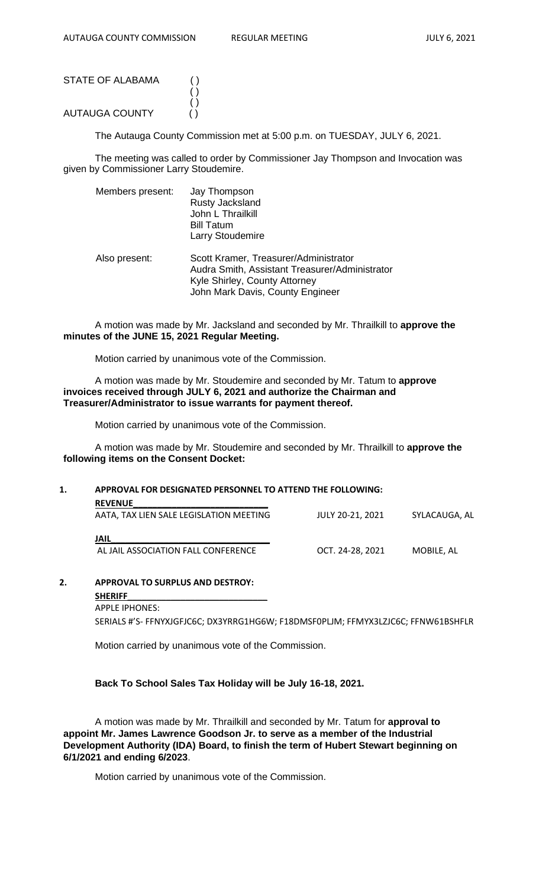| STATE OF ALABAMA | ( ) |
|------------------|-----|
|                  | ( ) |
|                  | ( ) |
| AUTAUGA COUNTY   | ( ) |

The Autauga County Commission met at 5:00 p.m. on TUESDAY, JULY 6, 2021.

The meeting was called to order by Commissioner Jay Thompson and Invocation was given by Commissioner Larry Stoudemire.

| Members present: | Jay Thompson<br>Rusty Jacksland<br>John L Thrailkill<br><b>Bill Tatum</b><br><b>Larry Stoudemire</b>                                                         |
|------------------|--------------------------------------------------------------------------------------------------------------------------------------------------------------|
| Also present:    | Scott Kramer, Treasurer/Administrator<br>Audra Smith, Assistant Treasurer/Administrator<br>Kyle Shirley, County Attorney<br>John Mark Davis, County Engineer |

A motion was made by Mr. Jacksland and seconded by Mr. Thrailkill to **approve the minutes of the JUNE 15, 2021 Regular Meeting.**

Motion carried by unanimous vote of the Commission.

A motion was made by Mr. Stoudemire and seconded by Mr. Tatum to **approve invoices received through JULY 6, 2021 and authorize the Chairman and Treasurer/Administrator to issue warrants for payment thereof.**

Motion carried by unanimous vote of the Commission.

A motion was made by Mr. Stoudemire and seconded by Mr. Thrailkill to **approve the following items on the Consent Docket:**

## **1. APPROVAL FOR DESIGNATED PERSONNEL TO ATTEND THE FOLLOWING:**

| <b>REVENUE</b>                          |                  |               |  |
|-----------------------------------------|------------------|---------------|--|
| AATA, TAX LIEN SALE LEGISLATION MEETING | JULY 20-21, 2021 | SYLACAUGA, AL |  |
|                                         |                  |               |  |
| JAIL                                    |                  |               |  |
| AL JAIL ASSOCIATION FALL CONFERENCE     | OCT. 24-28. 2021 | MOBILE. AL    |  |
|                                         |                  |               |  |

**2. APPROVAL TO SURPLUS AND DESTROY: SHERIFF\_\_\_\_\_\_\_\_\_\_\_\_\_\_\_\_\_\_\_\_\_\_\_\_\_\_\_\_\_** APPLE IPHONES:

SERIALS #'S- FFNYXJGFJC6C; DX3YRRG1HG6W; F18DMSF0PLJM; FFMYX3LZJC6C; FFNW61BSHFLR

Motion carried by unanimous vote of the Commission.

## **Back To School Sales Tax Holiday will be July 16-18, 2021.**

A motion was made by Mr. Thrailkill and seconded by Mr. Tatum for **approval to appoint Mr. James Lawrence Goodson Jr. to serve as a member of the Industrial Development Authority (IDA) Board, to finish the term of Hubert Stewart beginning on 6/1/2021 and ending 6/2023**.

Motion carried by unanimous vote of the Commission.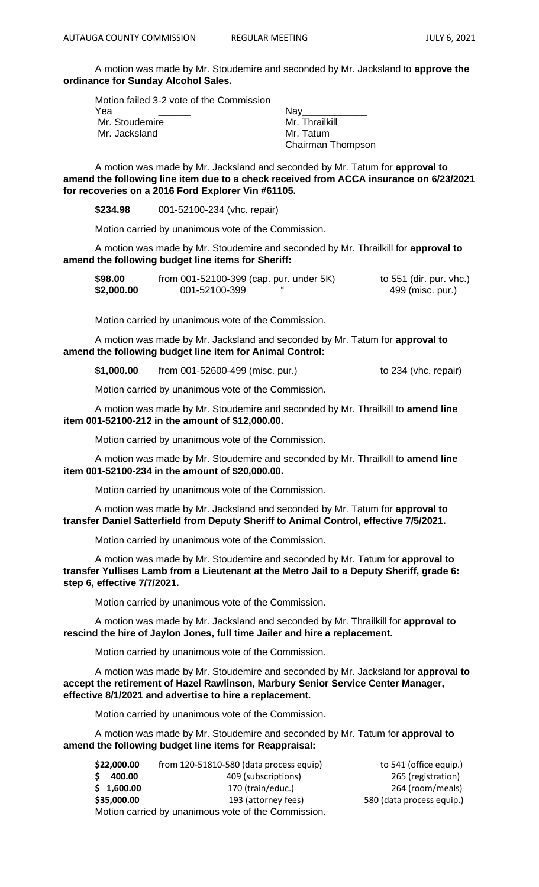A motion was made by Mr. Stoudemire and seconded by Mr. Jacksland to **approve the ordinance for Sunday Alcohol Sales.**

Motion failed 3-2 vote of the Commission

| Yea            | Nav               |
|----------------|-------------------|
| Mr. Stoudemire | Mr. Thrailkill    |
| Mr. Jacksland  | Mr. Tatum         |
|                | Chairman Thompson |

A motion was made by Mr. Jacksland and seconded by Mr. Tatum for **approval to amend the following line item due to a check received from ACCA insurance on 6/23/2021 for recoveries on a 2016 Ford Explorer Vin #61105.**

**\$234.98** 001-52100-234 (vhc. repair)

Motion carried by unanimous vote of the Commission.

A motion was made by Mr. Stoudemire and seconded by Mr. Thrailkill for **approval to amend the following budget line items for Sheriff:**

| \$98.00    | from 001-52100-399 (cap. pur. under 5K) | to 551 (dir. pur. vhc.) |
|------------|-----------------------------------------|-------------------------|
| \$2,000.00 | 001-52100-399                           | 499 (misc. pur.)        |

Motion carried by unanimous vote of the Commission.

A motion was made by Mr. Jacksland and seconded by Mr. Tatum for **approval to amend the following budget line item for Animal Control:**

**\$1,000.00** from 001-52600-499 (misc. pur.) to 234 (vhc. repair)

Motion carried by unanimous vote of the Commission.

A motion was made by Mr. Stoudemire and seconded by Mr. Thrailkill to **amend line item 001-52100-212 in the amount of \$12,000.00.**

Motion carried by unanimous vote of the Commission.

A motion was made by Mr. Stoudemire and seconded by Mr. Thrailkill to **amend line item 001-52100-234 in the amount of \$20,000.00.**

Motion carried by unanimous vote of the Commission.

A motion was made by Mr. Jacksland and seconded by Mr. Tatum for **approval to transfer Daniel Satterfield from Deputy Sheriff to Animal Control, effective 7/5/2021.**

Motion carried by unanimous vote of the Commission.

A motion was made by Mr. Stoudemire and seconded by Mr. Tatum for **approval to transfer Yullises Lamb from a Lieutenant at the Metro Jail to a Deputy Sheriff, grade 6: step 6, effective 7/7/2021.**

Motion carried by unanimous vote of the Commission.

A motion was made by Mr. Jacksland and seconded by Mr. Thrailkill for **approval to rescind the hire of Jaylon Jones, full time Jailer and hire a replacement.**

Motion carried by unanimous vote of the Commission.

A motion was made by Mr. Stoudemire and seconded by Mr. Jacksland for **approval to accept the retirement of Hazel Rawlinson, Marbury Senior Service Center Manager, effective 8/1/2021 and advertise to hire a replacement.**

Motion carried by unanimous vote of the Commission.

A motion was made by Mr. Stoudemire and seconded by Mr. Tatum for **approval to amend the following budget line items for Reappraisal:**

| \$22,000.00                                         | from 120-51810-580 (data process equip) | to 541 (office equip.)    |  |  |
|-----------------------------------------------------|-----------------------------------------|---------------------------|--|--|
| S.<br>400.00                                        | 409 (subscriptions)                     | 265 (registration)        |  |  |
| \$1,600.00                                          | 170 (train/educ.)                       | 264 (room/meals)          |  |  |
| \$35,000.00                                         | 193 (attorney fees)                     | 580 (data process equip.) |  |  |
| Motion carried by unanimous vote of the Commission. |                                         |                           |  |  |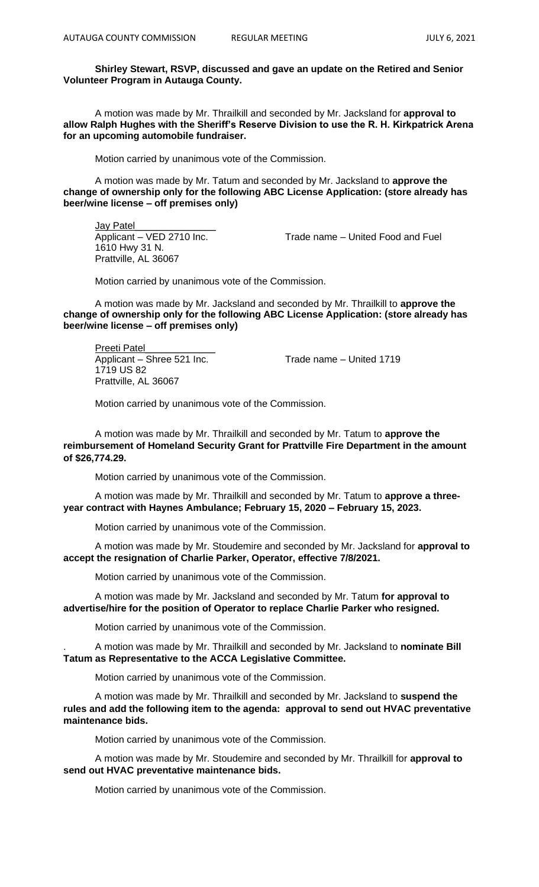## **Shirley Stewart, RSVP, discussed and gave an update on the Retired and Senior Volunteer Program in Autauga County.**

A motion was made by Mr. Thrailkill and seconded by Mr. Jacksland for **approval to allow Ralph Hughes with the Sheriff's Reserve Division to use the R. H. Kirkpatrick Arena for an upcoming automobile fundraiser.**

Motion carried by unanimous vote of the Commission.

A motion was made by Mr. Tatum and seconded by Mr. Jacksland to **approve the change of ownership only for the following ABC License Application: (store already has beer/wine license – off premises only)**

Jay Patel 1610 Hwy 31 N. Prattville, AL 36067

Applicant – VED 2710 Inc. Trade name – United Food and Fuel

Motion carried by unanimous vote of the Commission.

A motion was made by Mr. Jacksland and seconded by Mr. Thrailkill to **approve the change of ownership only for the following ABC License Application: (store already has beer/wine license – off premises only)**

Preeti Patel Applicant – Shree 521 Inc. Trade name – United 1719 1719 US 82 Prattville, AL 36067

Motion carried by unanimous vote of the Commission.

A motion was made by Mr. Thrailkill and seconded by Mr. Tatum to **approve the reimbursement of Homeland Security Grant for Prattville Fire Department in the amount of \$26,774.29.**

Motion carried by unanimous vote of the Commission.

A motion was made by Mr. Thrailkill and seconded by Mr. Tatum to **approve a threeyear contract with Haynes Ambulance; February 15, 2020 – February 15, 2023.**

Motion carried by unanimous vote of the Commission.

A motion was made by Mr. Stoudemire and seconded by Mr. Jacksland for **approval to accept the resignation of Charlie Parker, Operator, effective 7/8/2021.**

Motion carried by unanimous vote of the Commission.

A motion was made by Mr. Jacksland and seconded by Mr. Tatum **for approval to advertise/hire for the position of Operator to replace Charlie Parker who resigned.**

Motion carried by unanimous vote of the Commission.

. A motion was made by Mr. Thrailkill and seconded by Mr. Jacksland to **nominate Bill Tatum as Representative to the ACCA Legislative Committee.**

Motion carried by unanimous vote of the Commission.

A motion was made by Mr. Thrailkill and seconded by Mr. Jacksland to **suspend the rules and add the following item to the agenda: approval to send out HVAC preventative maintenance bids.**

Motion carried by unanimous vote of the Commission.

A motion was made by Mr. Stoudemire and seconded by Mr. Thrailkill for **approval to send out HVAC preventative maintenance bids.**

Motion carried by unanimous vote of the Commission.